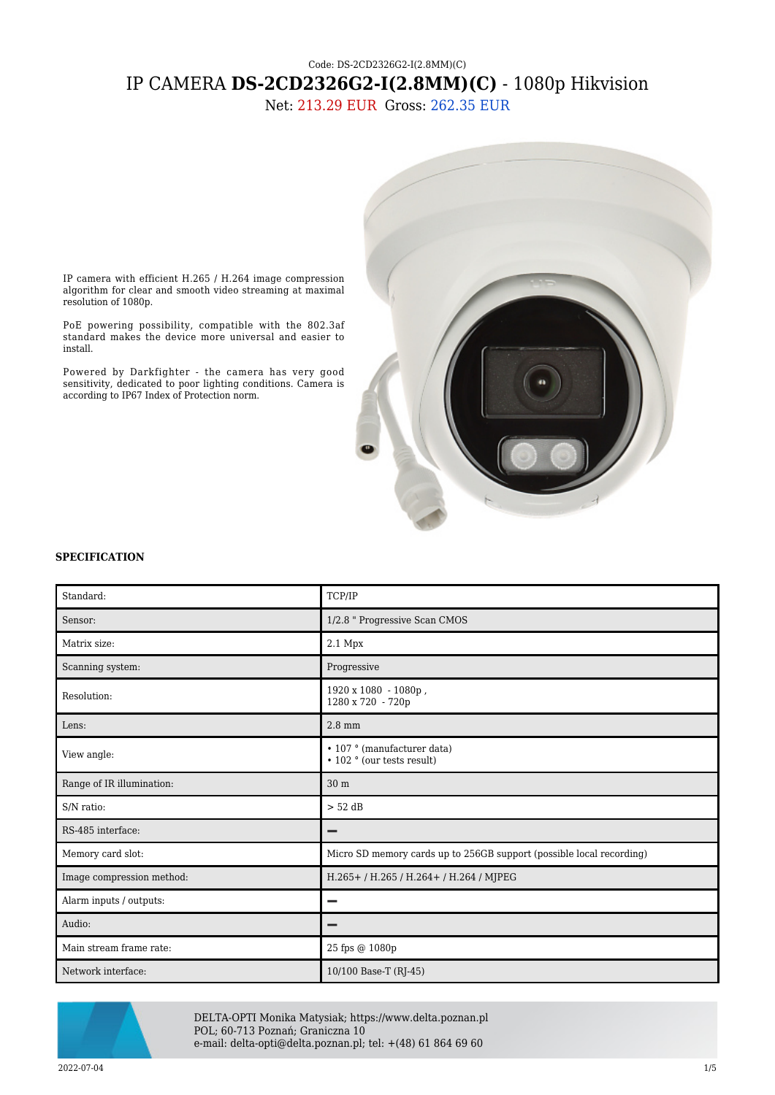## Code: DS-2CD2326G2-I(2.8MM)(C) IP CAMERA **DS-2CD2326G2-I(2.8MM)(C)** - 1080p Hikvision

Net: 213.29 EUR Gross: 262.35 EUR



IP camera with efficient H.265 / H.264 image compression algorithm for clear and smooth video streaming at maximal resolution of 1080p.

PoE powering possibility, compatible with the 802.3af standard makes the device more universal and easier to install.

Powered by Darkfighter - the camera has very good sensitivity, dedicated to poor lighting conditions. Camera is according to IP67 Index of Protection norm.

## **SPECIFICATION**

| Standard:                 | TCP/IP                                                                  |
|---------------------------|-------------------------------------------------------------------------|
| Sensor:                   | 1/2.8 " Progressive Scan CMOS                                           |
| Matrix size:              | $2.1\ \mathrm{Mpx}$                                                     |
| Scanning system:          | Progressive                                                             |
| Resolution:               | 1920 x 1080 - 1080p,<br>1280 x 720 - 720p                               |
| Lens:                     | $2.8$ mm                                                                |
| View angle:               | • 107 ° (manufacturer data)<br>$\cdot$ 102 $\degree$ (our tests result) |
| Range of IR illumination: | 30 <sub>m</sub>                                                         |
| S/N ratio:                | $> 52$ dB                                                               |
| RS-485 interface:         | -                                                                       |
| Memory card slot:         | Micro SD memory cards up to 256GB support (possible local recording)    |
| Image compression method: | H.265+/H.265/H.264+/H.264/MJPEG                                         |
| Alarm inputs / outputs:   |                                                                         |
| Audio:                    |                                                                         |
| Main stream frame rate:   | 25 fps @ 1080p                                                          |
| Network interface:        | 10/100 Base-T (RJ-45)                                                   |



DELTA-OPTI Monika Matysiak; https://www.delta.poznan.pl POL; 60-713 Poznań; Graniczna 10 e-mail: delta-opti@delta.poznan.pl; tel: +(48) 61 864 69 60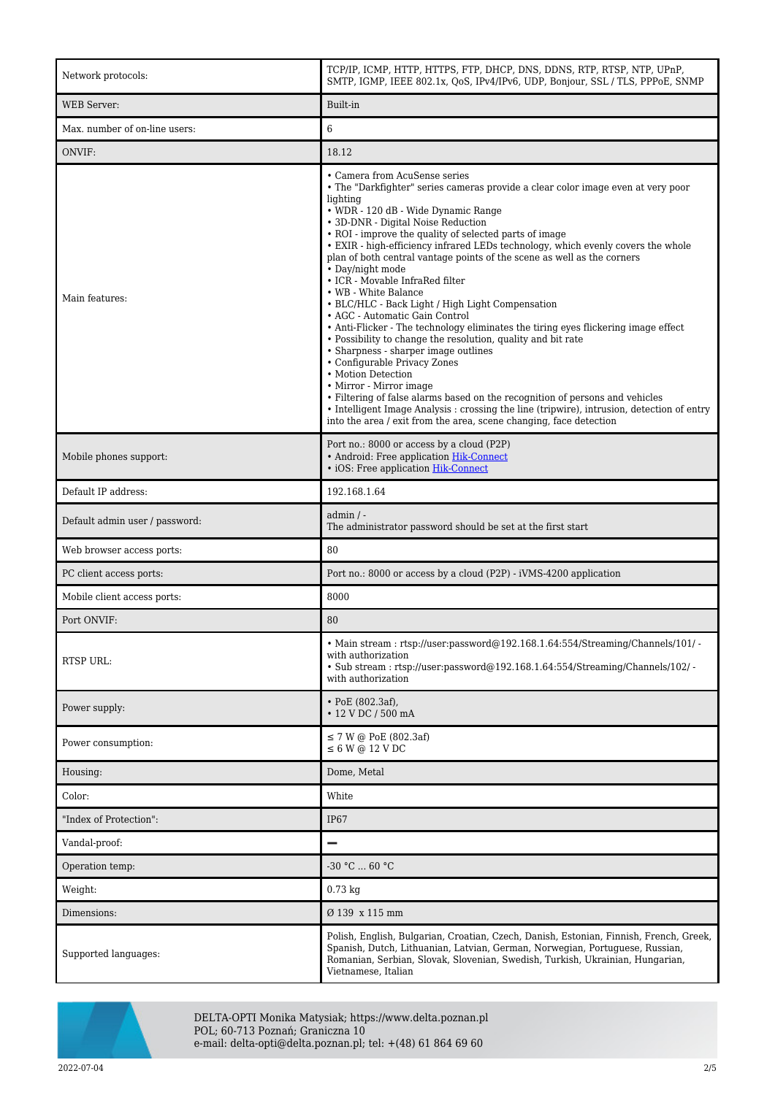| Network protocols:             | TCP/IP, ICMP, HTTP, HTTPS, FTP, DHCP, DNS, DDNS, RTP, RTSP, NTP, UPnP,<br>SMTP, IGMP, IEEE 802.1x, QoS, IPv4/IPv6, UDP, Bonjour, SSL / TLS, PPPoE, SNMP                                                                                                                                                                                                                                                                                                                                                                                                                                                                                                                                                                                                                                                                                                                                                                                                                                                                                                                                                                                     |
|--------------------------------|---------------------------------------------------------------------------------------------------------------------------------------------------------------------------------------------------------------------------------------------------------------------------------------------------------------------------------------------------------------------------------------------------------------------------------------------------------------------------------------------------------------------------------------------------------------------------------------------------------------------------------------------------------------------------------------------------------------------------------------------------------------------------------------------------------------------------------------------------------------------------------------------------------------------------------------------------------------------------------------------------------------------------------------------------------------------------------------------------------------------------------------------|
| <b>WEB</b> Server:             | Built-in                                                                                                                                                                                                                                                                                                                                                                                                                                                                                                                                                                                                                                                                                                                                                                                                                                                                                                                                                                                                                                                                                                                                    |
| Max. number of on-line users:  | 6                                                                                                                                                                                                                                                                                                                                                                                                                                                                                                                                                                                                                                                                                                                                                                                                                                                                                                                                                                                                                                                                                                                                           |
| ONVIF:                         | 18.12                                                                                                                                                                                                                                                                                                                                                                                                                                                                                                                                                                                                                                                                                                                                                                                                                                                                                                                                                                                                                                                                                                                                       |
| Main features:                 | • Camera from AcuSense series<br>• The "Darkfighter" series cameras provide a clear color image even at very poor<br>lighting<br>· WDR - 120 dB - Wide Dynamic Range<br>• 3D-DNR - Digital Noise Reduction<br>• ROI - improve the quality of selected parts of image<br>• EXIR - high-efficiency infrared LEDs technology, which evenly covers the whole<br>plan of both central vantage points of the scene as well as the corners<br>• Day/night mode<br>• ICR - Movable InfraRed filter<br>• WB - White Balance<br>• BLC/HLC - Back Light / High Light Compensation<br>• AGC - Automatic Gain Control<br>• Anti-Flicker - The technology eliminates the tiring eyes flickering image effect<br>• Possibility to change the resolution, quality and bit rate<br>• Sharpness - sharper image outlines<br>• Configurable Privacy Zones<br>• Motion Detection<br>• Mirror - Mirror image<br>• Filtering of false alarms based on the recognition of persons and vehicles<br>• Intelligent Image Analysis : crossing the line (tripwire), intrusion, detection of entry<br>into the area / exit from the area, scene changing, face detection |
| Mobile phones support:         | Port no.: 8000 or access by a cloud (P2P)<br>• Android: Free application Hik-Connect<br>• iOS: Free application Hik-Connect                                                                                                                                                                                                                                                                                                                                                                                                                                                                                                                                                                                                                                                                                                                                                                                                                                                                                                                                                                                                                 |
| Default IP address:            | 192.168.1.64                                                                                                                                                                                                                                                                                                                                                                                                                                                                                                                                                                                                                                                                                                                                                                                                                                                                                                                                                                                                                                                                                                                                |
| Default admin user / password: | $admin / -$<br>The administrator password should be set at the first start                                                                                                                                                                                                                                                                                                                                                                                                                                                                                                                                                                                                                                                                                                                                                                                                                                                                                                                                                                                                                                                                  |
| Web browser access ports:      | 80                                                                                                                                                                                                                                                                                                                                                                                                                                                                                                                                                                                                                                                                                                                                                                                                                                                                                                                                                                                                                                                                                                                                          |
| PC client access ports:        | Port no.: 8000 or access by a cloud (P2P) - iVMS-4200 application                                                                                                                                                                                                                                                                                                                                                                                                                                                                                                                                                                                                                                                                                                                                                                                                                                                                                                                                                                                                                                                                           |
| Mobile client access ports:    | 8000                                                                                                                                                                                                                                                                                                                                                                                                                                                                                                                                                                                                                                                                                                                                                                                                                                                                                                                                                                                                                                                                                                                                        |
| Port ONVIF:                    | 80                                                                                                                                                                                                                                                                                                                                                                                                                                                                                                                                                                                                                                                                                                                                                                                                                                                                                                                                                                                                                                                                                                                                          |
| <b>RTSP URL:</b>               | • Main stream: rtsp://user:password@192.168.1.64:554/Streaming/Channels/101/ -<br>with authorization<br>. Sub stream: rtsp://user.password@192.168.1.64.554/Streaming/Channels/102/<br>with authorization                                                                                                                                                                                                                                                                                                                                                                                                                                                                                                                                                                                                                                                                                                                                                                                                                                                                                                                                   |
| Power supply:                  | $\cdot$ PoE (802.3af),<br>• 12 V DC / 500 mA                                                                                                                                                                                                                                                                                                                                                                                                                                                                                                                                                                                                                                                                                                                                                                                                                                                                                                                                                                                                                                                                                                |
| Power consumption:             | $\leq$ 7 W @ PoE (802.3af)<br>$\leq 6$ W @ 12 V DC                                                                                                                                                                                                                                                                                                                                                                                                                                                                                                                                                                                                                                                                                                                                                                                                                                                                                                                                                                                                                                                                                          |
| Housing:                       | Dome, Metal                                                                                                                                                                                                                                                                                                                                                                                                                                                                                                                                                                                                                                                                                                                                                                                                                                                                                                                                                                                                                                                                                                                                 |
| Color:                         | White                                                                                                                                                                                                                                                                                                                                                                                                                                                                                                                                                                                                                                                                                                                                                                                                                                                                                                                                                                                                                                                                                                                                       |
| "Index of Protection":         | <b>IP67</b>                                                                                                                                                                                                                                                                                                                                                                                                                                                                                                                                                                                                                                                                                                                                                                                                                                                                                                                                                                                                                                                                                                                                 |
| Vandal-proof:                  |                                                                                                                                                                                                                                                                                                                                                                                                                                                                                                                                                                                                                                                                                                                                                                                                                                                                                                                                                                                                                                                                                                                                             |
| Operation temp:                | -30 °C  60 °C                                                                                                                                                                                                                                                                                                                                                                                                                                                                                                                                                                                                                                                                                                                                                                                                                                                                                                                                                                                                                                                                                                                               |
| Weight:                        | $0.73$ kg                                                                                                                                                                                                                                                                                                                                                                                                                                                                                                                                                                                                                                                                                                                                                                                                                                                                                                                                                                                                                                                                                                                                   |
| Dimensions:                    | Ø 139 x 115 mm                                                                                                                                                                                                                                                                                                                                                                                                                                                                                                                                                                                                                                                                                                                                                                                                                                                                                                                                                                                                                                                                                                                              |
| Supported languages:           | Polish, English, Bulgarian, Croatian, Czech, Danish, Estonian, Finnish, French, Greek,<br>Spanish, Dutch, Lithuanian, Latvian, German, Norwegian, Portuguese, Russian,<br>Romanian, Serbian, Slovak, Slovenian, Swedish, Turkish, Ukrainian, Hungarian,<br>Vietnamese, Italian                                                                                                                                                                                                                                                                                                                                                                                                                                                                                                                                                                                                                                                                                                                                                                                                                                                              |



DELTA-OPTI Monika Matysiak; https://www.delta.poznan.pl POL; 60-713 Poznań; Graniczna 10 e-mail: delta-opti@delta.poznan.pl; tel: +(48) 61 864 69 60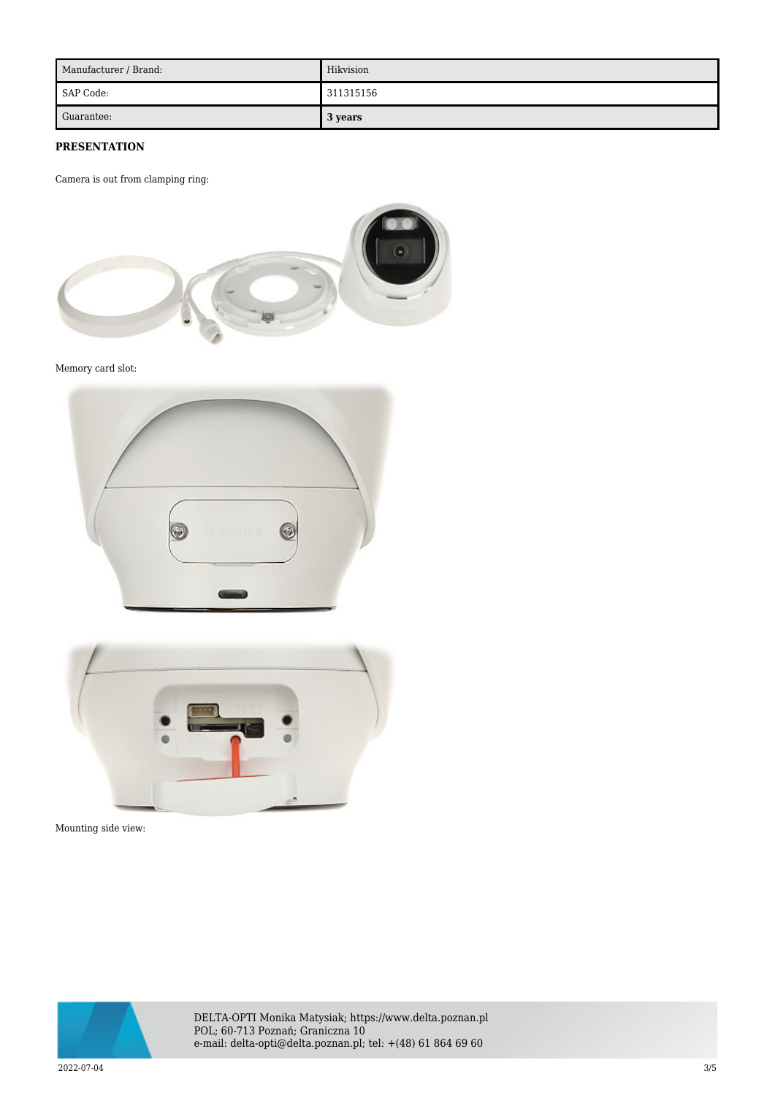| Manufacturer / Brand: | Hikvision |
|-----------------------|-----------|
| SAP Code:             | 311315156 |
| Guarantee:            | 3 years   |

## **PRESENTATION**

Camera is out from clamping ring:



Memory card slot:





Mounting side view:



DELTA-OPTI Monika Matysiak; https://www.delta.poznan.pl POL; 60-713 Poznań; Graniczna 10 e-mail: delta-opti@delta.poznan.pl; tel: +(48) 61 864 69 60

2022-07-04 3/5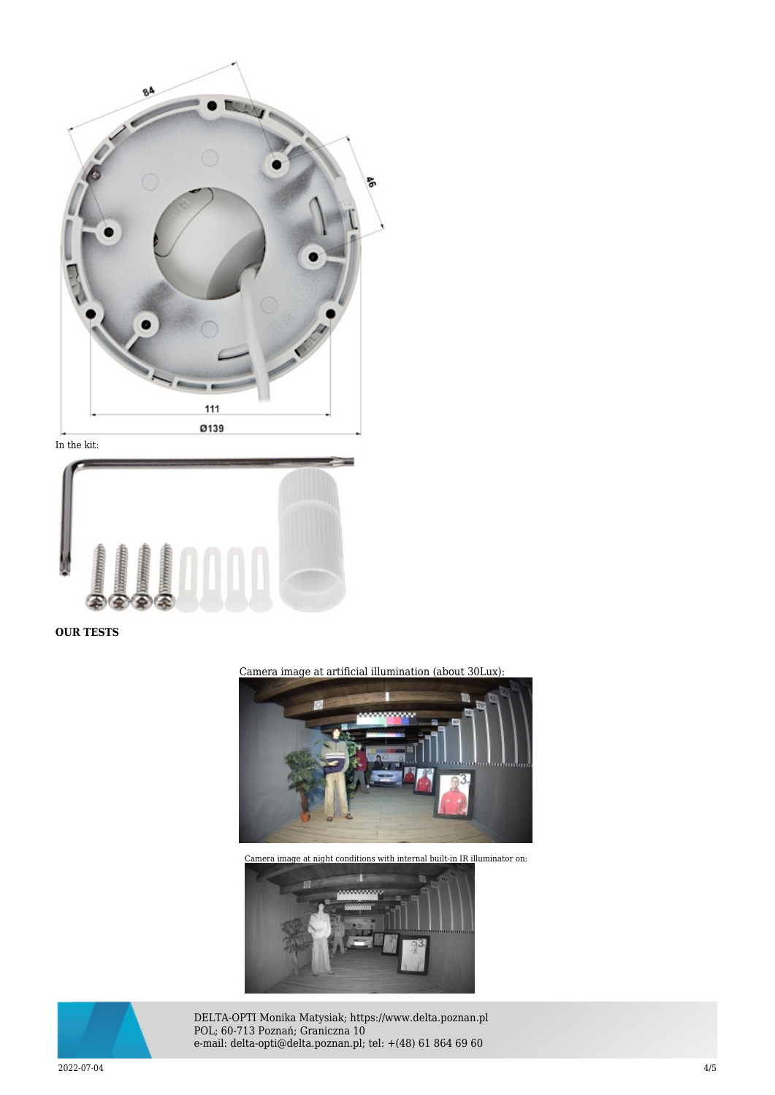

In the kit:



**OUR TESTS**

Camera image at artificial illumination (about 30Lux):



Camera image at night conditions with internal built-in IR illuminator on:





DELTA-OPTI Monika Matysiak; https://www.delta.poznan.pl POL; 60-713 Poznań; Graniczna 10 e-mail: delta-opti@delta.poznan.pl; tel: +(48) 61 864 69 60

2022-07-04 4/5